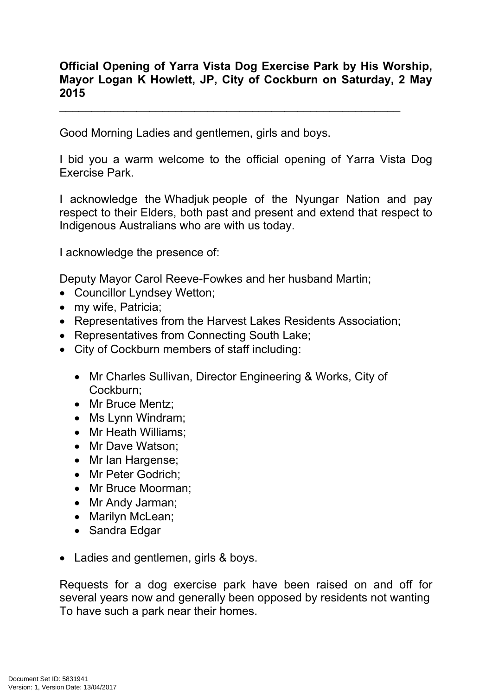## **Official Opening of Yarra Vista Dog Exercise Park by His Worship, Mayor Logan K Howlett, JP, City of Cockburn on Saturday, 2 May 2015**

\_\_\_\_\_\_\_\_\_\_\_\_\_\_\_\_\_\_\_\_\_\_\_\_\_\_\_\_\_\_\_\_\_\_\_\_\_\_\_\_\_\_\_\_\_\_\_\_\_\_\_\_\_

Good Morning Ladies and gentlemen, girls and boys.

I bid you a warm welcome to the official opening of Yarra Vista Dog Exercise Park.

I acknowledge the Whadjuk people of the Nyungar Nation and pay respect to their Elders, both past and present and extend that respect to Indigenous Australians who are with us today.

I acknowledge the presence of:

Deputy Mayor Carol Reeve-Fowkes and her husband Martin;

- Councillor Lyndsey Wetton;
- my wife, Patricia;
- Representatives from the Harvest Lakes Residents Association;
- Representatives from Connecting South Lake;
- City of Cockburn members of staff including:
	- Mr Charles Sullivan, Director Engineering & Works, City of Cockburn;
	- Mr Bruce Mentz:
	- Ms Lynn Windram;
	- Mr Heath Williams;
	- Mr Dave Watson:
	- Mr Ian Hargense;
	- Mr Peter Godrich:
	- Mr Bruce Moorman:
	- Mr Andy Jarman;
	- Marilyn McLean;
	- Sandra Edgar
- Ladies and gentlemen, girls & boys.

Requests for a dog exercise park have been raised on and off for several years now and generally been opposed by residents not wanting To have such a park near their homes.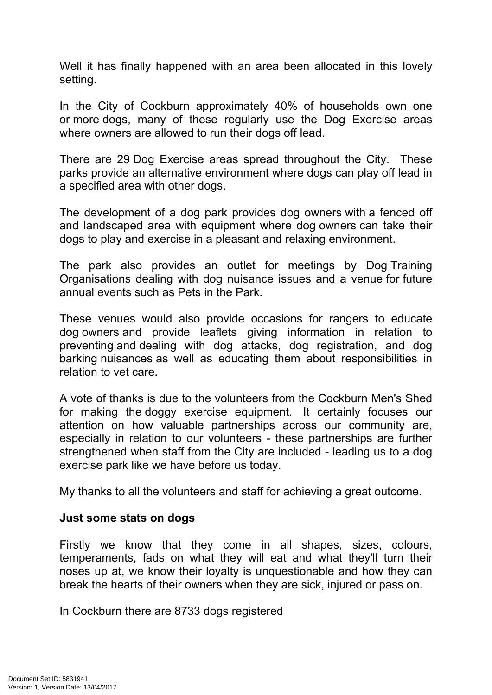Well it has finally happened with an area been allocated in this lovely setting.

In the City of Cockburn approximately 40% of households own one or more dogs, many of these regularly use the Dog Exercise areas where owners are allowed to run their dogs off lead.

There are 29 Dog Exercise areas spread throughout the City. These parks provide an alternative environment where dogs can play off lead in a specified area with other dogs.

The development of a dog park provides dog owners with a fenced off and landscaped area with equipment where dog owners can take their dogs to play and exercise in a pleasant and relaxing environment.

The park also provides an outlet for meetings by Dog Training Organisations dealing with dog nuisance issues and a venue for future annual events such as Pets in the Park.

These venues would also provide occasions for rangers to educate dog owners and provide leaflets giving information in relation to preventing and dealing with dog attacks, dog registration, and dog barking nuisances as well as educating them about responsibilities in relation to vet care.

A vote of thanks is due to the volunteers from the Cockburn Men's Shed for making the doggy exercise equipment. It certainly focuses our attention on how valuable partnerships across our community are, especially in relation to our volunteers - these partnerships are further strengthened when staff from the City are included - leading us to a dog exercise park like we have before us today.

My thanks to all the volunteers and staff for achieving a great outcome.

## **Just some stats on dogs**

Firstly we know that they come in all shapes, sizes, colours, temperaments, fads on what they will eat and what they'll turn their noses up at, we know their loyalty is unquestionable and how they can break the hearts of their owners when they are sick, injured or pass on.

In Cockburn there are 8733 dogs registered